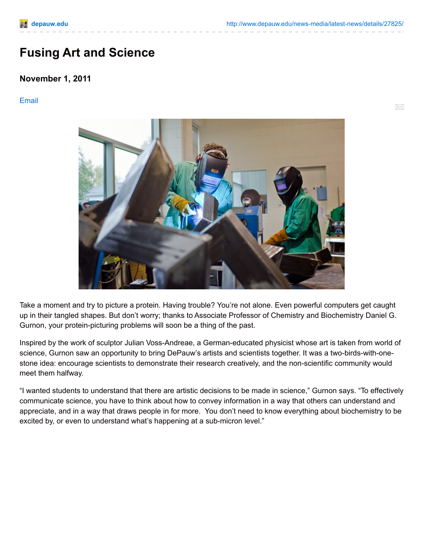## **Fusing Art and Science**

## **November 1, 2011**

## [Email](http://www.depauw.edu/news-media/latest-news/send_news_story/27825/)

 $\times$ 



Take a moment and try to picture a protein. Having trouble? You're not alone. Even powerful computers get caught up in their tangled shapes. But don't worry; thanks to Associate Professor of Chemistry and Biochemistry Daniel G. Gurnon, your protein-picturing problems will soon be a thing of the past.

Inspired by the work of sculptor Julian Voss-Andreae, a German-educated physicist whose art is taken from world of science, Gurnon saw an opportunity to bring DePauw's artists and scientists together. It was a two-birds-with-onestone idea: encourage scientists to demonstrate their research creatively, and the non-scientific community would meet them halfway.

"I wanted students to understand that there are artistic decisions to be made in science," Gurnon says. "To effectively communicate science, you have to think about how to convey information in a way that others can understand and appreciate, and in a way that draws people in for more. You don't need to know everything about biochemistry to be excited by, or even to understand what's happening at a sub-micron level."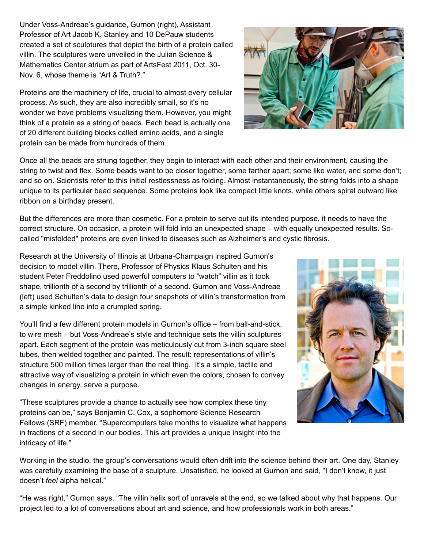Under Voss-Andreae's guidance, Gurnon (right), Assistant Professor of Art Jacob K. Stanley and 10 DePauw students created a set of sculptures that depict the birth of a protein called villin. The sculptures were unveiled in the Julian Science & Mathematics Center atrium as part of ArtsFest 2011, Oct. 30- Nov. 6, whose theme is "Art & Truth?."

Proteins are the machinery of life, crucial to almost every cellular process. As such, they are also incredibly small, so it's no wonder we have problems visualizing them. However, you might think of a protein as a string of beads. Each bead is actually one of 20 different building blocks called amino acids, and a single protein can be made from hundreds of them.



But the differences are more than cosmetic. For a protein to serve out its intended purpose, it needs to have the correct structure. On occasion, a protein will fold into an unexpected shape – with equally unexpected results. Socalled "misfolded" proteins are even linked to diseases such as Alzheimer's and cystic fibrosis.

Research at the University of Illinois at Urbana-Champaign inspired Gurnon's decision to model villin. There, Professor of Physics Klaus Schulten and his student Peter Freddolino used powerful computers to "watch" villin as it took shape, trillionth of a second by trillionth of a second. Gurnon and Voss-Andreae (left) used Schulten's data to design four snapshots of villin's transformation from a simple kinked line into a crumpled spring.

You'll find a few different protein models in Gurnon's office – from ball-and-stick, to wire mesh – but Voss-Andreae's style and technique sets the villin sculptures apart. Each segment of the protein was meticulously cut from 3-inch square steel tubes, then welded together and painted. The result: representations of villin's structure 500 million times larger than the real thing. It's a simple, tactile and attractive way of visualizing a protein in which even the colors, chosen to convey changes in energy, serve a purpose.

"These sculptures provide a chance to actually see how complex these tiny proteins can be," says Benjamin C. Cox, a sophomore Science Research Fellows (SRF) member. "Supercomputers take months to visualize what happens in fractions of a second in our bodies. This art provides a unique insight into the intricacy of life."

Working in the studio, the group's conversations would often drift into the science behind their art. One day, Stanley was carefully examining the base of a sculpture. Unsatisfied, he looked at Gurnon and said, "I don't know, it just doesn't *feel* alpha helical."

"He was right," Gurnon says. "The villin helix sort of unravels at the end, so we talked about why that happens. Our project led to a lot of conversations about art and science, and how professionals work in both areas."